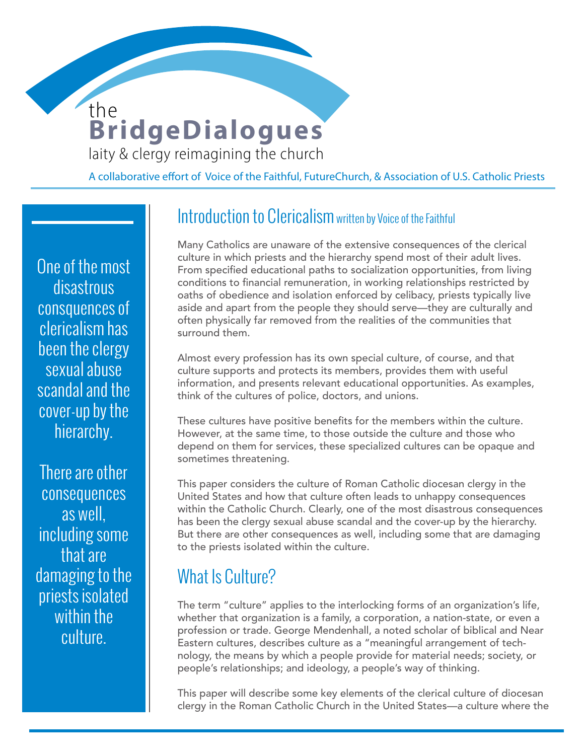### **BridgeDialogues** laity & clergy reimagining the church the

**WOMEN DEACONS** 

A collaborative effort of Voice of the Faithful, FutureChurch, & Association of U.S. Catholic Priests

One of the most disastrous consquences of clericalism has been the clergy sexual abuse scandal and the cover-up by the hierarchy.

There are other consequences as well, including some that are damaging to the priests isolated within the culture.

### Introduction to Clericalism written by Voice of the Faithful

Many Catholics are unaware of the extensive consequences of the clerical culture in which priests and the hierarchy spend most of their adult lives. From specified educational paths to socialization opportunities, from living conditions to financial remuneration, in working relationships restricted by oaths of obedience and isolation enforced by celibacy, priests typically live aside and apart from the people they should serve—they are culturally and often physically far removed from the realities of the communities that surround them.

Almost every profession has its own special culture, of course, and that culture supports and protects its members, provides them with useful information, and presents relevant educational opportunities. As examples, think of the cultures of police, doctors, and unions.

These cultures have positive benefits for the members within the culture. However, at the same time, to those outside the culture and those who depend on them for services, these specialized cultures can be opaque and sometimes threatening.

This paper considers the culture of Roman Catholic diocesan clergy in the United States and how that culture often leads to unhappy consequences within the Catholic Church. Clearly, one of the most disastrous consequences has been the clergy sexual abuse scandal and the cover-up by the hierarchy. But there are other consequences as well, including some that are damaging to the priests isolated within the culture.

### What Is Culture?

The term "culture" applies to the interlocking forms of an organization's life, whether that organization is a family, a corporation, a nation-state, or even a profession or trade. George Mendenhall, a noted scholar of biblical and Near Eastern cultures, describes culture as a "meaningful arrangement of technology, the means by which a people provide for material needs; society, or people's relationships; and ideology, a people's way of thinking.

This paper will describe some key elements of the clerical culture of diocesan clergy in the Roman Catholic Church in the United States—a culture where the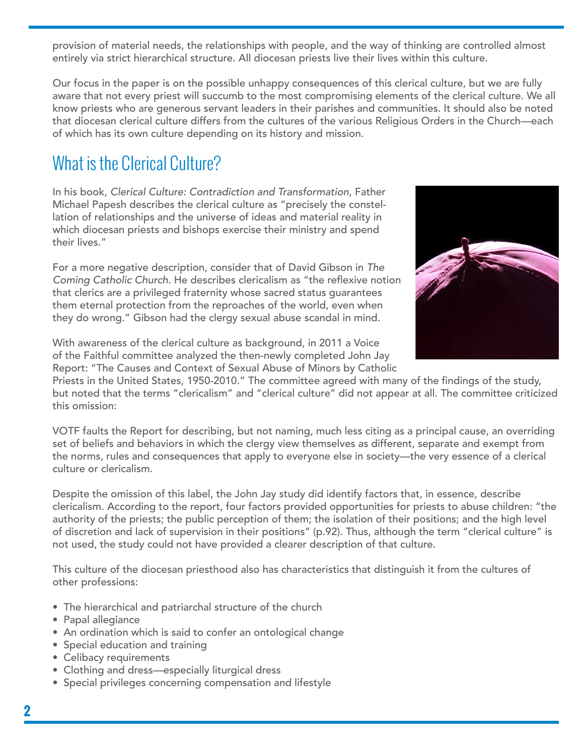provision of material needs, the relationships with people, and the way of thinking are controlled almost entirely via strict hierarchical structure. All diocesan priests live their lives within this culture.

Our focus in the paper is on the possible unhappy consequences of this clerical culture, but we are fully aware that not every priest will succumb to the most compromising elements of the clerical culture. We all know priests who are generous servant leaders in their parishes and communities. It should also be noted that diocesan clerical culture differs from the cultures of the various Religious Orders in the Church—each of which has its own culture depending on its history and mission.

## What is the Clerical Culture?

In his book, *Clerical Culture: Contradiction and Transformation*, Father Michael Papesh describes the clerical culture as "precisely the constellation of relationships and the universe of ideas and material reality in which diocesan priests and bishops exercise their ministry and spend their lives."

For a more negative description, consider that of David Gibson in *The Coming Catholic Church.* He describes clericalism as "the reflexive notion that clerics are a privileged fraternity whose sacred status guarantees them eternal protection from the reproaches of the world, even when they do wrong." Gibson had the clergy sexual abuse scandal in mind.



With awareness of the clerical culture as background, in 2011 a Voice of the Faithful committee analyzed the then-newly completed John Jay Report: "The Causes and Context of Sexual Abuse of Minors by Catholic

Priests in the United States, 1950-2010." The committee agreed with many of the findings of the study, but noted that the terms "clericalism" and "clerical culture" did not appear at all. The committee criticized this omission:

VOTF faults the Report for describing, but not naming, much less citing as a principal cause, an overriding set of beliefs and behaviors in which the clergy view themselves as different, separate and exempt from the norms, rules and consequences that apply to everyone else in society—the very essence of a clerical culture or clericalism.

Despite the omission of this label, the John Jay study did identify factors that, in essence, describe clericalism. According to the report, four factors provided opportunities for priests to abuse children: "the authority of the priests; the public perception of them; the isolation of their positions; and the high level of discretion and lack of supervision in their positions" (p.92). Thus, although the term "clerical culture" is not used, the study could not have provided a clearer description of that culture.

This culture of the diocesan priesthood also has characteristics that distinguish it from the cultures of other professions:

- The hierarchical and patriarchal structure of the church
- Papal allegiance
- An ordination which is said to confer an ontological change
- Special education and training
- Celibacy requirements
- Clothing and dress—especially liturgical dress
- Special privileges concerning compensation and lifestyle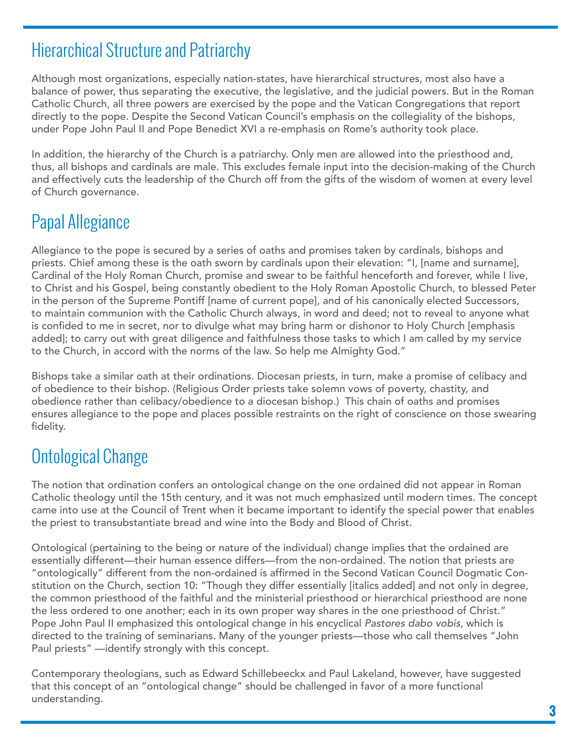### Hierarchical Structure and Patriarchy

Although most organizations, especially nation-states, have hierarchical structures, most also have a balance of power, thus separating the executive, the legislative, and the judicial powers. But in the Roman Catholic Church, all three powers are exercised by the pope and the Vatican Congregations that report directly to the pope. Despite the Second Vatican Council's emphasis on the collegiality of the bishops, under Pope John Paul II and Pope Benedict XVI a re-emphasis on Rome's authority took place.

In addition, the hierarchy of the Church is a patriarchy. Only men are allowed into the priesthood and, thus, all bishops and cardinals are male. This excludes female input into the decision-making of the Church and effectively cuts the leadership of the Church off from the gifts of the wisdom of women at every level of Church governance.

# Papal Allegiance

Allegiance to the pope is secured by a series of oaths and promises taken by cardinals, bishops and priests. Chief among these is the oath sworn by cardinals upon their elevation: "I, [name and surname], Cardinal of the Holy Roman Church, promise and swear to be faithful henceforth and forever, while I live, to Christ and his Gospel, being constantly obedient to the Holy Roman Apostolic Church, to blessed Peter in the person of the Supreme Pontiff [name of current pope], and of his canonically elected Successors, to maintain communion with the Catholic Church always, in word and deed; not to reveal to anyone what is confided to me in secret, nor to divulge what may bring harm or dishonor to Holy Church [emphasis added]; to carry out with great diligence and faithfulness those tasks to which I am called by my service to the Church, in accord with the norms of the law. So help me Almighty God."

Bishops take a similar oath at their ordinations. Diocesan priests, in turn, make a promise of celibacy and of obedience to their bishop. (Religious Order priests take solemn vows of poverty, chastity, and obedience rather than celibacy/obedience to a diocesan bishop.) This chain of oaths and promises ensures allegiance to the pope and places possible restraints on the right of conscience on those swearing fidelity.

## Ontological Change

The notion that ordination confers an ontological change on the one ordained did not appear in Roman Catholic theology until the 15th century, and it was not much emphasized until modern times. The concept came into use at the Council of Trent when it became important to identify the special power that enables the priest to transubstantiate bread and wine into the Body and Blood of Christ.

Ontological (pertaining to the being or nature of the individual) change implies that the ordained are essentially different—their human essence differs—from the non-ordained. The notion that priests are "ontologically" different from the non-ordained is affirmed in the Second Vatican Council Dogmatic Constitution on the Church, section 10: "Though they differ essentially [italics added] and not only in degree, the common priesthood of the faithful and the ministerial priesthood or hierarchical priesthood are none the less ordered to one another; each in its own proper way shares in the one priesthood of Christ." Pope John Paul II emphasized this ontological change in his encyclical *Pastores dabo vobis*, which is directed to the training of seminarians. Many of the younger priests—those who call themselves "John Paul priests" —identify strongly with this concept.

Contemporary theologians, such as Edward Schillebeeckx and Paul Lakeland, however, have suggested that this concept of an "ontological change" should be challenged in favor of a more functional understanding.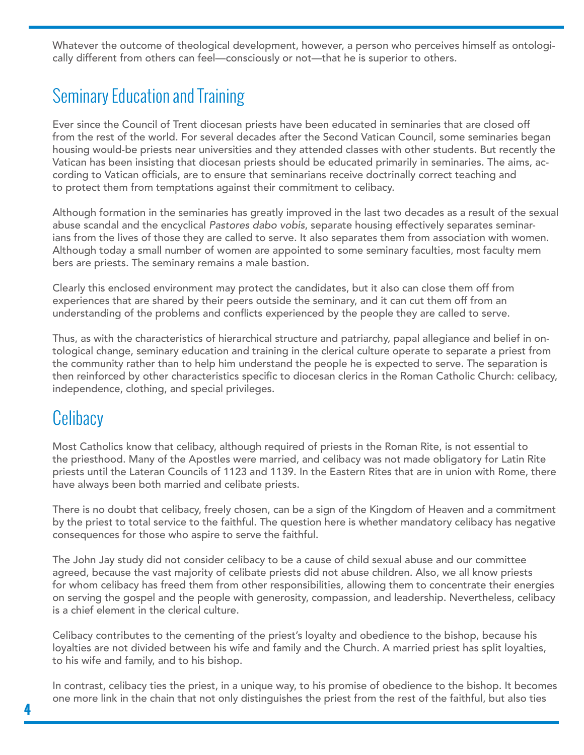Whatever the outcome of theological development, however, a person who perceives himself as ontologically different from others can feel—consciously or not—that he is superior to others.

## Seminary Education and Training

Ever since the Council of Trent diocesan priests have been educated in seminaries that are closed off from the rest of the world. For several decades after the Second Vatican Council, some seminaries began housing would-be priests near universities and they attended classes with other students. But recently the Vatican has been insisting that diocesan priests should be educated primarily in seminaries. The aims, according to Vatican officials, are to ensure that seminarians receive doctrinally correct teaching and to protect them from temptations against their commitment to celibacy.

Although formation in the seminaries has greatly improved in the last two decades as a result of the sexual abuse scandal and the encyclical *Pastores dabo vobis*, separate housing effectively separates seminarians from the lives of those they are called to serve. It also separates them from association with women. Although today a small number of women are appointed to some seminary faculties, most faculty mem bers are priests. The seminary remains a male bastion.

Clearly this enclosed environment may protect the candidates, but it also can close them off from experiences that are shared by their peers outside the seminary, and it can cut them off from an understanding of the problems and conflicts experienced by the people they are called to serve.

Thus, as with the characteristics of hierarchical structure and patriarchy, papal allegiance and belief in ontological change, seminary education and training in the clerical culture operate to separate a priest from the community rather than to help him understand the people he is expected to serve. The separation is then reinforced by other characteristics specific to diocesan clerics in the Roman Catholic Church: celibacy, independence, clothing, and special privileges.

### **Celibacy**

Most Catholics know that celibacy, although required of priests in the Roman Rite, is not essential to the priesthood. Many of the Apostles were married, and celibacy was not made obligatory for Latin Rite priests until the Lateran Councils of 1123 and 1139. In the Eastern Rites that are in union with Rome, there have always been both married and celibate priests.

There is no doubt that celibacy, freely chosen, can be a sign of the Kingdom of Heaven and a commitment by the priest to total service to the faithful. The question here is whether mandatory celibacy has negative consequences for those who aspire to serve the faithful.

The John Jay study did not consider celibacy to be a cause of child sexual abuse and our committee agreed, because the vast majority of celibate priests did not abuse children. Also, we all know priests for whom celibacy has freed them from other responsibilities, allowing them to concentrate their energies on serving the gospel and the people with generosity, compassion, and leadership. Nevertheless, celibacy is a chief element in the clerical culture.

Celibacy contributes to the cementing of the priest's loyalty and obedience to the bishop, because his loyalties are not divided between his wife and family and the Church. A married priest has split loyalties, to his wife and family, and to his bishop.

In contrast, celibacy ties the priest, in a unique way, to his promise of obedience to the bishop. It becomes one more link in the chain that not only distinguishes the priest from the rest of the faithful, but also ties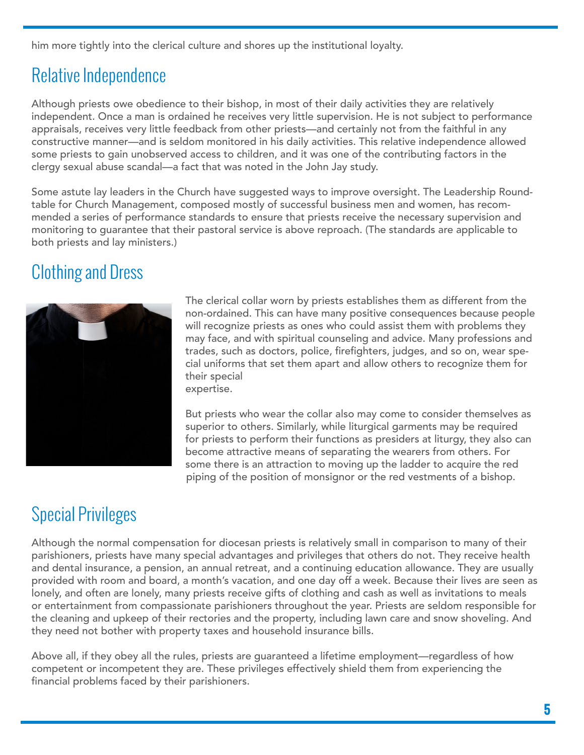him more tightly into the clerical culture and shores up the institutional loyalty.

# Relative Independence

Although priests owe obedience to their bishop, in most of their daily activities they are relatively independent. Once a man is ordained he receives very little supervision. He is not subject to performance appraisals, receives very little feedback from other priests—and certainly not from the faithful in any constructive manner—and is seldom monitored in his daily activities. This relative independence allowed some priests to gain unobserved access to children, and it was one of the contributing factors in the clergy sexual abuse scandal—a fact that was noted in the John Jay study.

Some astute lay leaders in the Church have suggested ways to improve oversight. The Leadership Roundtable for Church Management, composed mostly of successful business men and women, has recommended a series of performance standards to ensure that priests receive the necessary supervision and monitoring to guarantee that their pastoral service is above reproach. (The standards are applicable to both priests and lay ministers.)

# Clothing and Dress



The clerical collar worn by priests establishes them as different from the non-ordained. This can have many positive consequences because people will recognize priests as ones who could assist them with problems they may face, and with spiritual counseling and advice. Many professions and trades, such as doctors, police, firefighters, judges, and so on, wear special uniforms that set them apart and allow others to recognize them for their special expertise.

But priests who wear the collar also may come to consider themselves as superior to others. Similarly, while liturgical garments may be required for priests to perform their functions as presiders at liturgy, they also can become attractive means of separating the wearers from others. For some there is an attraction to moving up the ladder to acquire the red piping of the position of monsignor or the red vestments of a bishop.

# Special Privileges

Although the normal compensation for diocesan priests is relatively small in comparison to many of their parishioners, priests have many special advantages and privileges that others do not. They receive health and dental insurance, a pension, an annual retreat, and a continuing education allowance. They are usually provided with room and board, a month's vacation, and one day off a week. Because their lives are seen as lonely, and often are lonely, many priests receive gifts of clothing and cash as well as invitations to meals or entertainment from compassionate parishioners throughout the year. Priests are seldom responsible for the cleaning and upkeep of their rectories and the property, including lawn care and snow shoveling. And they need not bother with property taxes and household insurance bills.

Above all, if they obey all the rules, priests are guaranteed a lifetime employment—regardless of how competent or incompetent they are. These privileges effectively shield them from experiencing the financial problems faced by their parishioners.